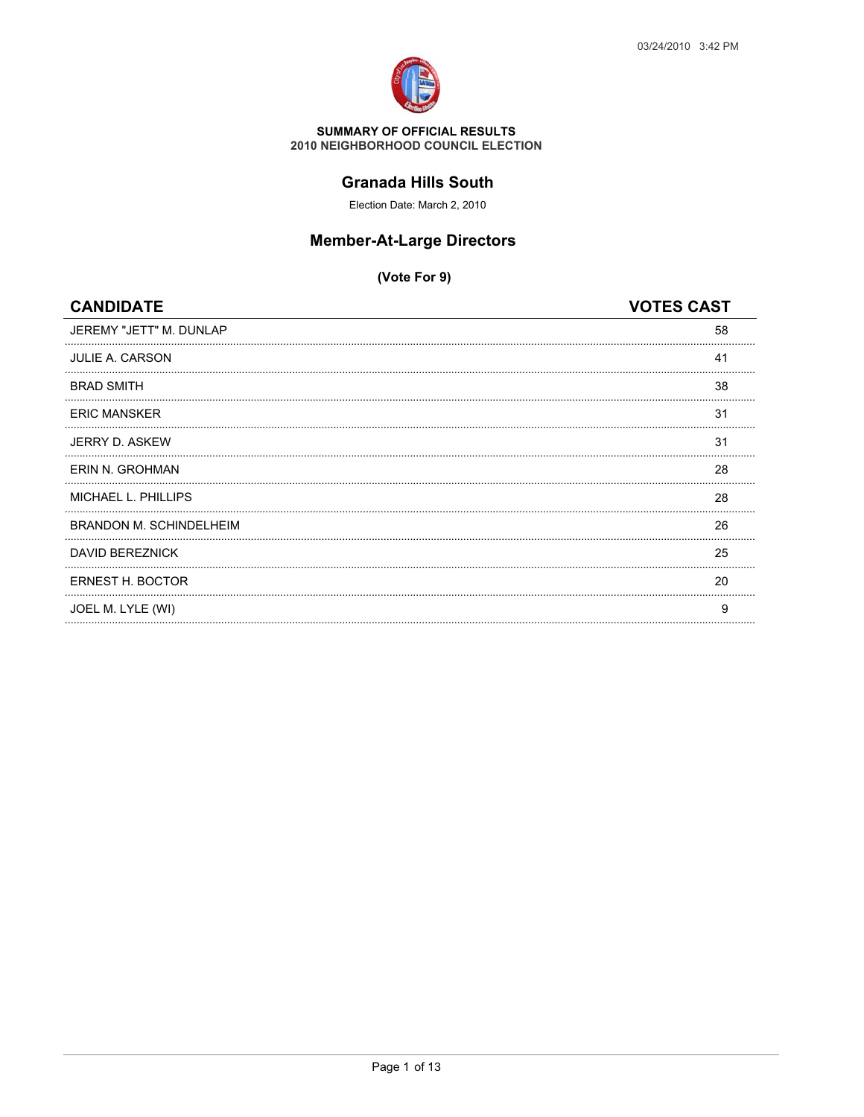

#### **Granada Hills South**

Election Date: March 2, 2010

## **Member-At-Large Directors**

| JEREMY "JETT" M. DUNLAP<br>58<br><b>JULIE A. CARSON</b><br>41<br><b>BRAD SMITH</b><br>38<br><b>ERIC MANSKER</b><br>31<br>JERRY D. ASKEW<br>31<br>ERIN N. GROHMAN<br>28<br><b>MICHAEL L. PHILLIPS</b><br>28<br><b>BRANDON M. SCHINDELHEIM</b><br>26<br>DAVID BEREZNICK<br>25<br>ERNEST H. BOCTOR<br>20<br>JOEL M. LYLE (WI)<br>9 | <b>CANDIDATE</b> | <b>VOTES CAST</b> |
|---------------------------------------------------------------------------------------------------------------------------------------------------------------------------------------------------------------------------------------------------------------------------------------------------------------------------------|------------------|-------------------|
|                                                                                                                                                                                                                                                                                                                                 |                  |                   |
|                                                                                                                                                                                                                                                                                                                                 |                  |                   |
|                                                                                                                                                                                                                                                                                                                                 |                  |                   |
|                                                                                                                                                                                                                                                                                                                                 |                  |                   |
|                                                                                                                                                                                                                                                                                                                                 |                  |                   |
|                                                                                                                                                                                                                                                                                                                                 |                  |                   |
|                                                                                                                                                                                                                                                                                                                                 |                  |                   |
|                                                                                                                                                                                                                                                                                                                                 |                  |                   |
|                                                                                                                                                                                                                                                                                                                                 |                  |                   |
|                                                                                                                                                                                                                                                                                                                                 |                  |                   |
|                                                                                                                                                                                                                                                                                                                                 |                  |                   |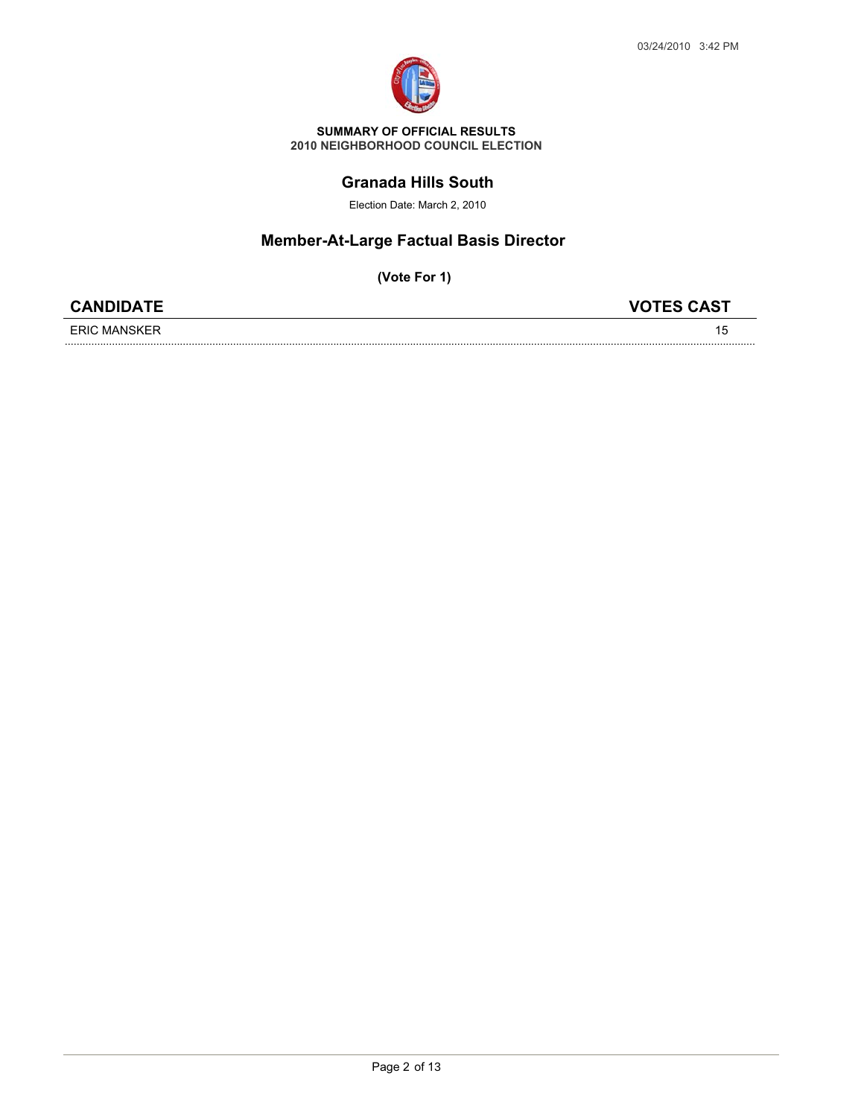

### **Granada Hills South**

Election Date: March 2, 2010

# **Member-At-Large Factual Basis Director**

| <b>CANDIDATE</b>    | <b>VOTES CAST</b> |
|---------------------|-------------------|
| <b>ERIC MANSKER</b> |                   |
|                     |                   |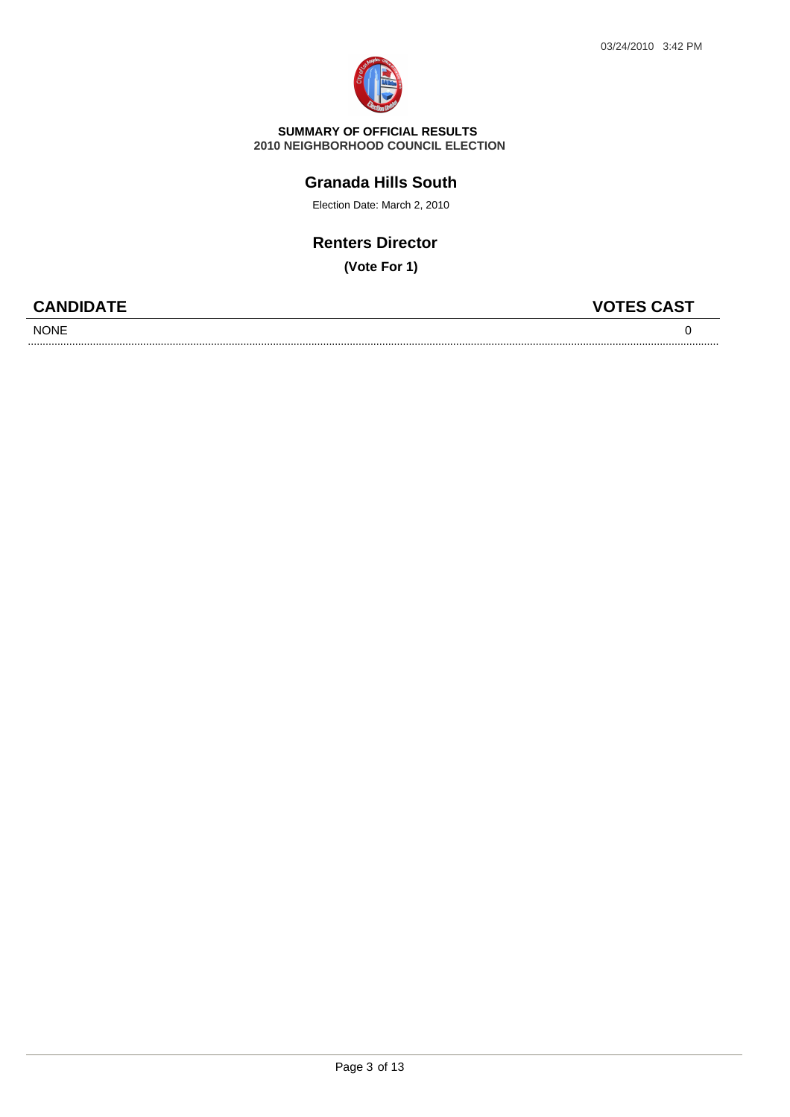

#### **2010 NEIGHBORHOOD COUNCIL ELECTION SUMMARY OF OFFICIAL RESULTS**

## **Granada Hills South**

Election Date: March 2, 2010

# **Renters Director**

**(Vote For 1)**

..........................................................................................................................................................................................................................................

Page 3 of 13

| <b>CANDIDATE</b> | <b>VOTES CAST</b> |
|------------------|-------------------|
| <b>NONE</b>      |                   |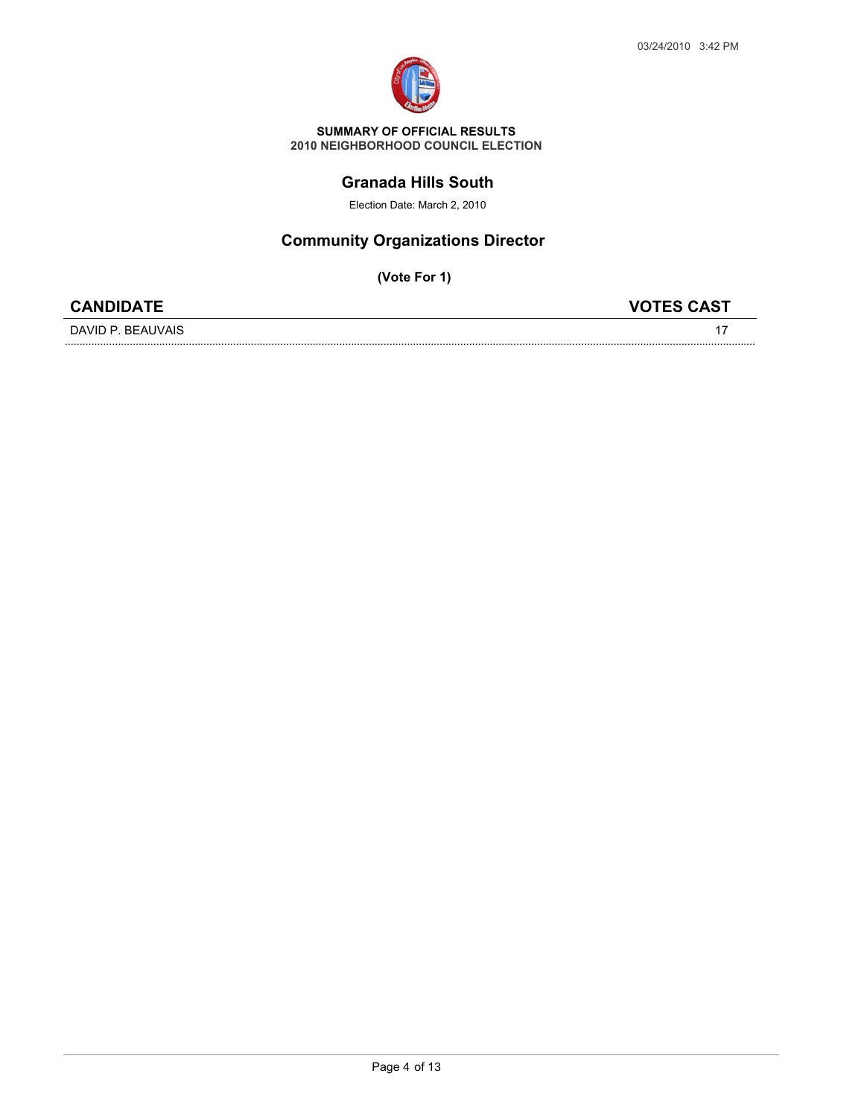

### **Granada Hills South**

Election Date: March 2, 2010

# **Community Organizations Director**

| <b>CANDIDATE</b>  | <b>VOTES CAST</b> |
|-------------------|-------------------|
| DAVID P. BEAUVAIS |                   |
|                   |                   |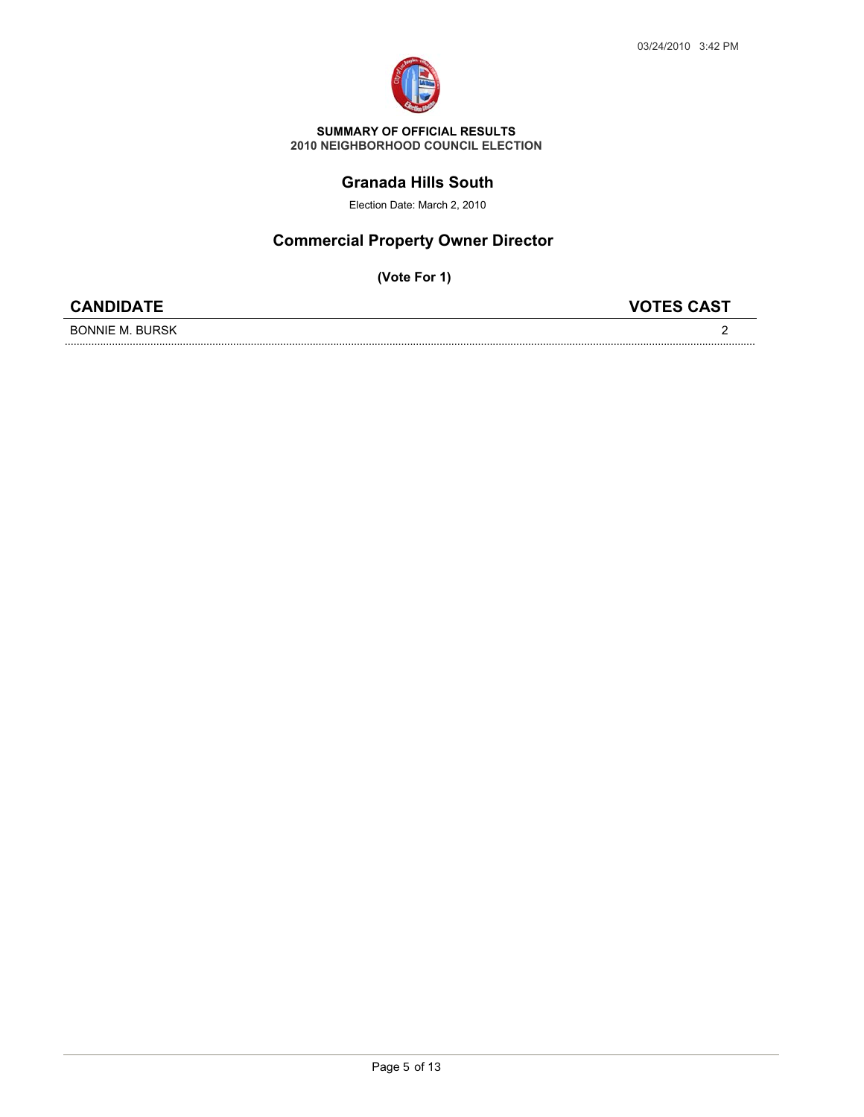

#### **Granada Hills South**

Election Date: March 2, 2010

## **Commercial Property Owner Director**

| <b>CANDIDATE</b>         | <b>VOTES CAST</b> |
|--------------------------|-------------------|
| <b>RHRSK</b><br>RONNIF M |                   |
|                          |                   |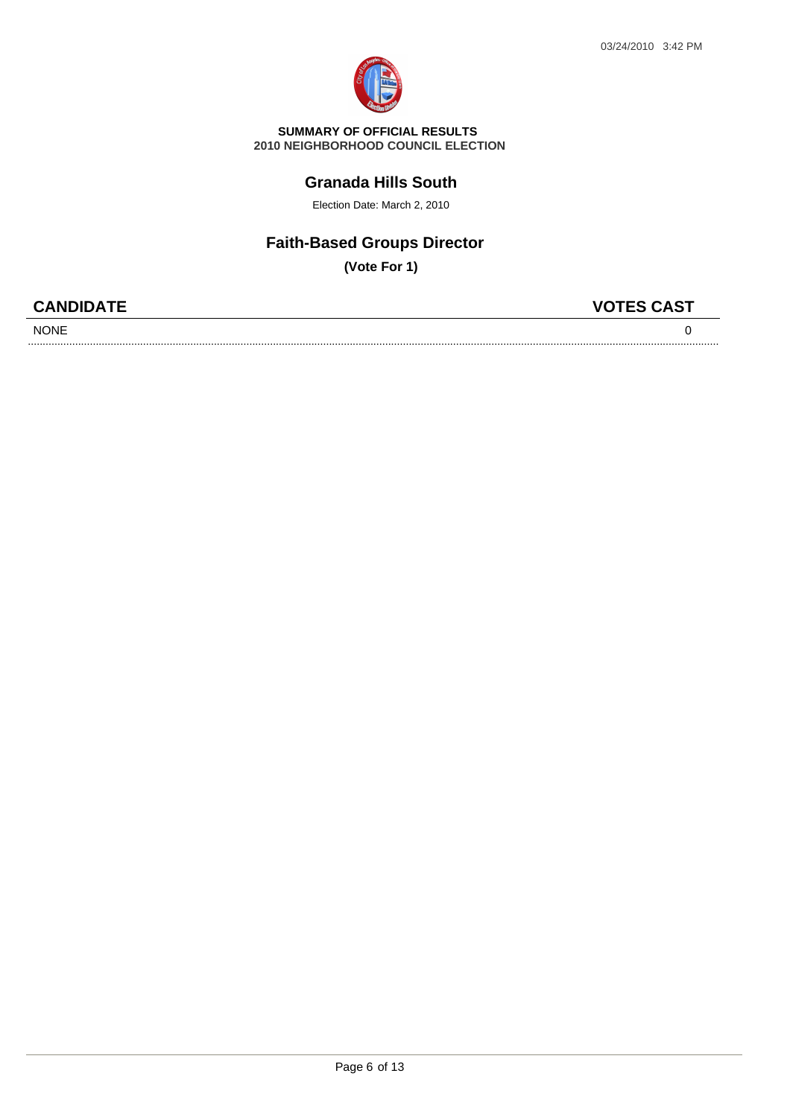

#### **2010 NEIGHBORHOOD COUNCIL ELECTION SUMMARY OF OFFICIAL RESULTS**

### **Granada Hills South**

Election Date: March 2, 2010

# **Faith-Based Groups Director**

| <b>CANDIDATE</b> | <b>VOTES CAST</b> |
|------------------|-------------------|
| <b>NONE</b>      |                   |
|                  |                   |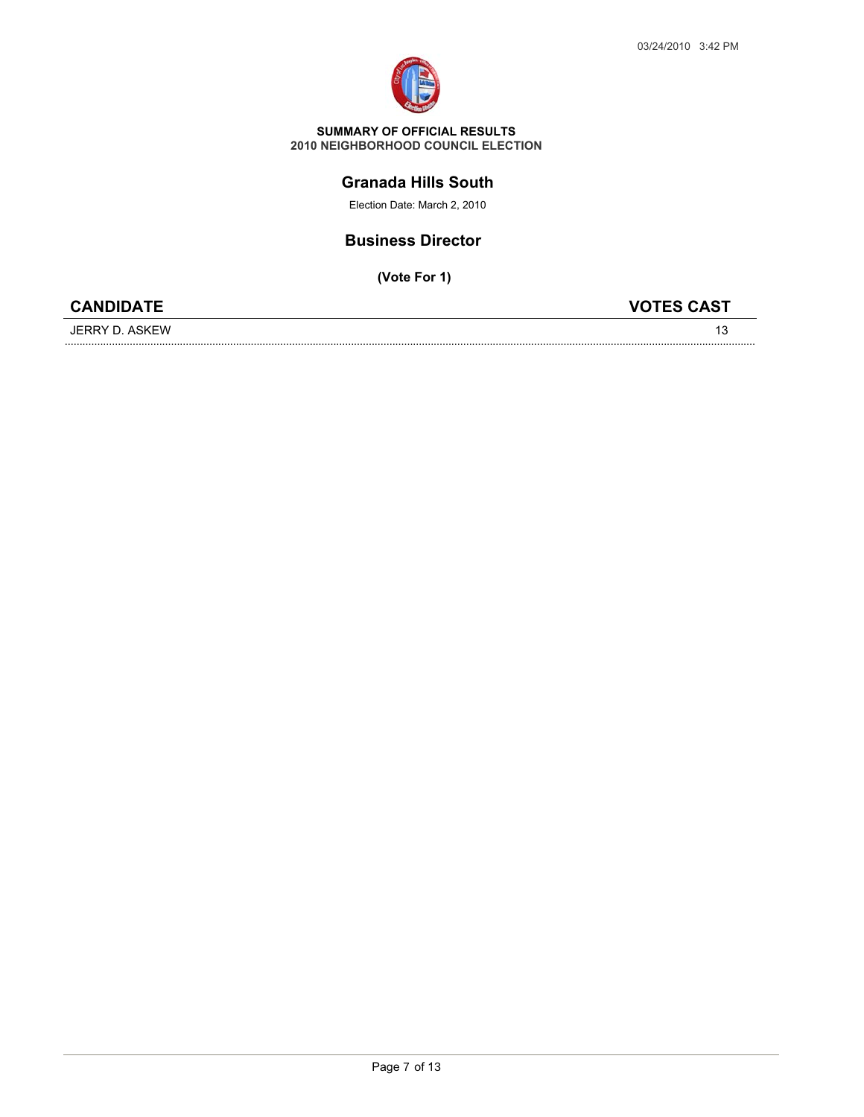

### **Granada Hills South**

Election Date: March 2, 2010

### **Business Director**

**(Vote For 1)**

|--|

JERRY D. ASKEW .......................................................................................................................................................................................................................................... <sup>13</sup>

**CANDIDATE VOTES CAST**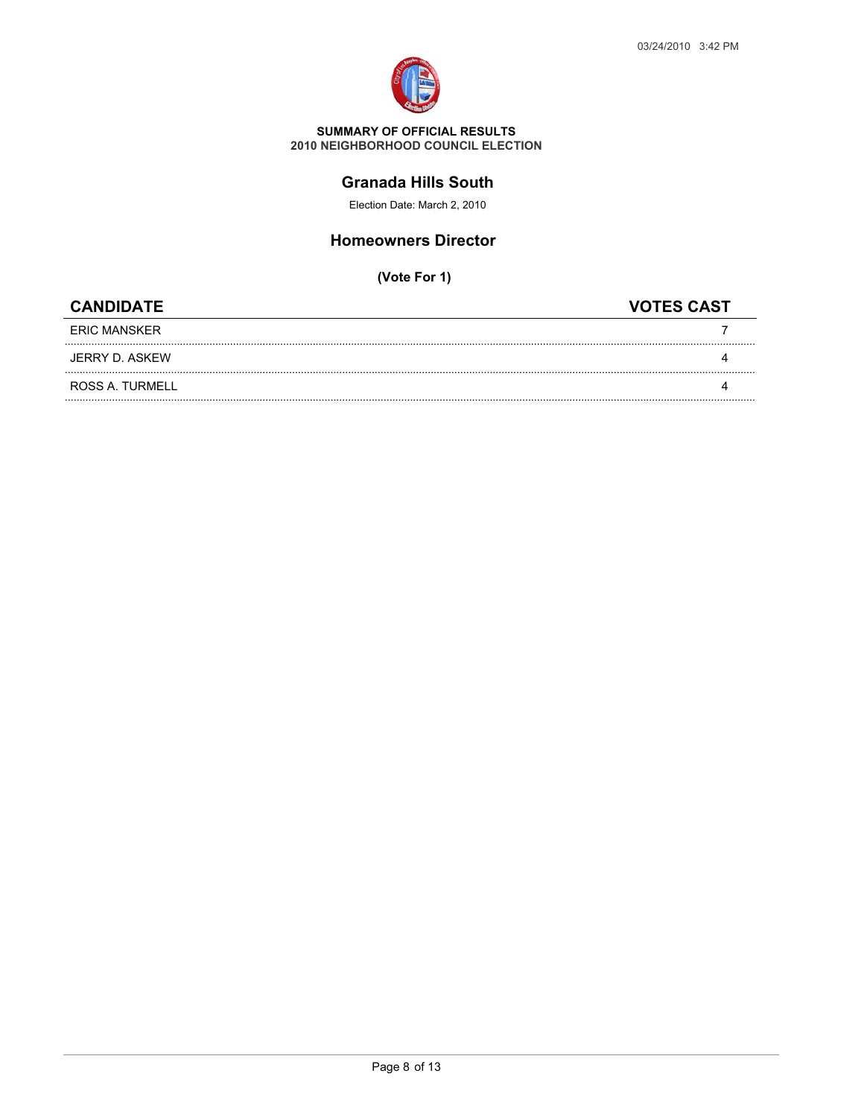

### **Granada Hills South**

Election Date: March 2, 2010

### **Homeowners Director**

| <b>CANDIDATE</b> | <b>VOTES CAST</b> |
|------------------|-------------------|
| ERIC MANSKER     |                   |
| JERRY D. ASKEW   |                   |
| ROSS A. TURMELL  |                   |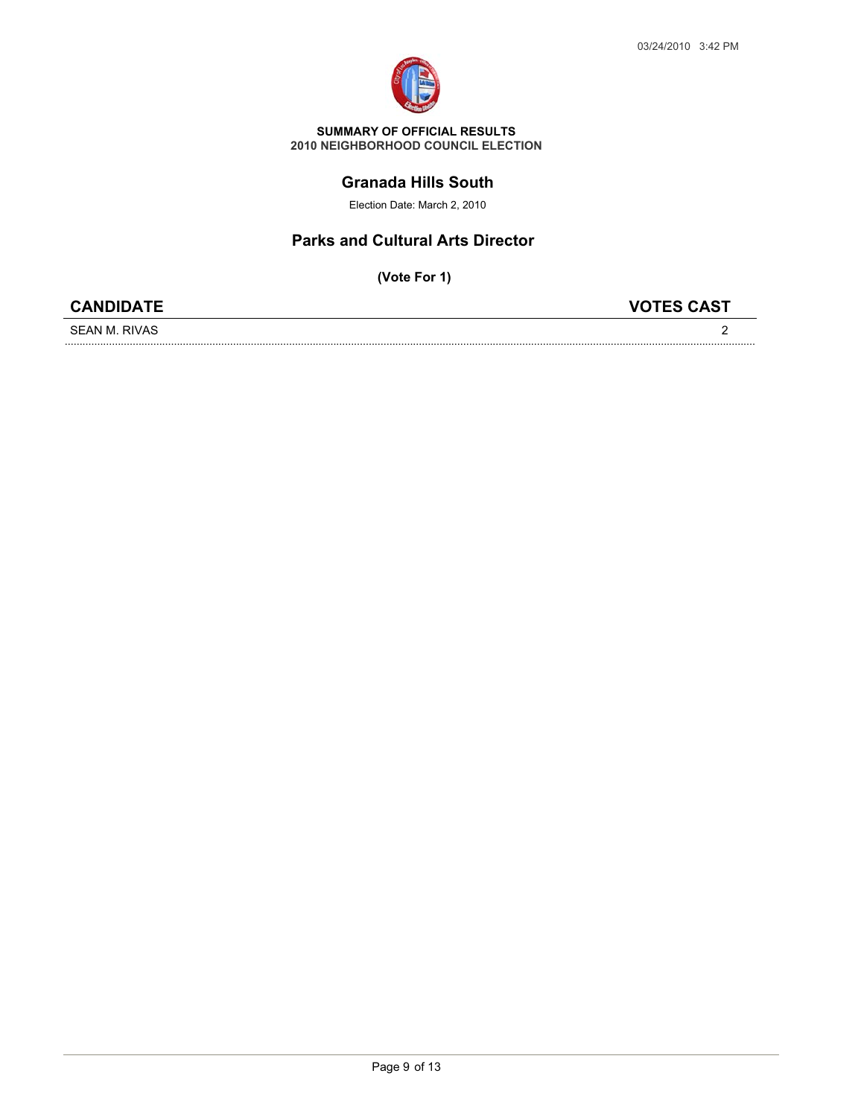

### **Granada Hills South**

Election Date: March 2, 2010

### **Parks and Cultural Arts Director**

| <b>CANDIDATE</b>  |  |
|-------------------|--|
| SEAN M<br>– RIVA. |  |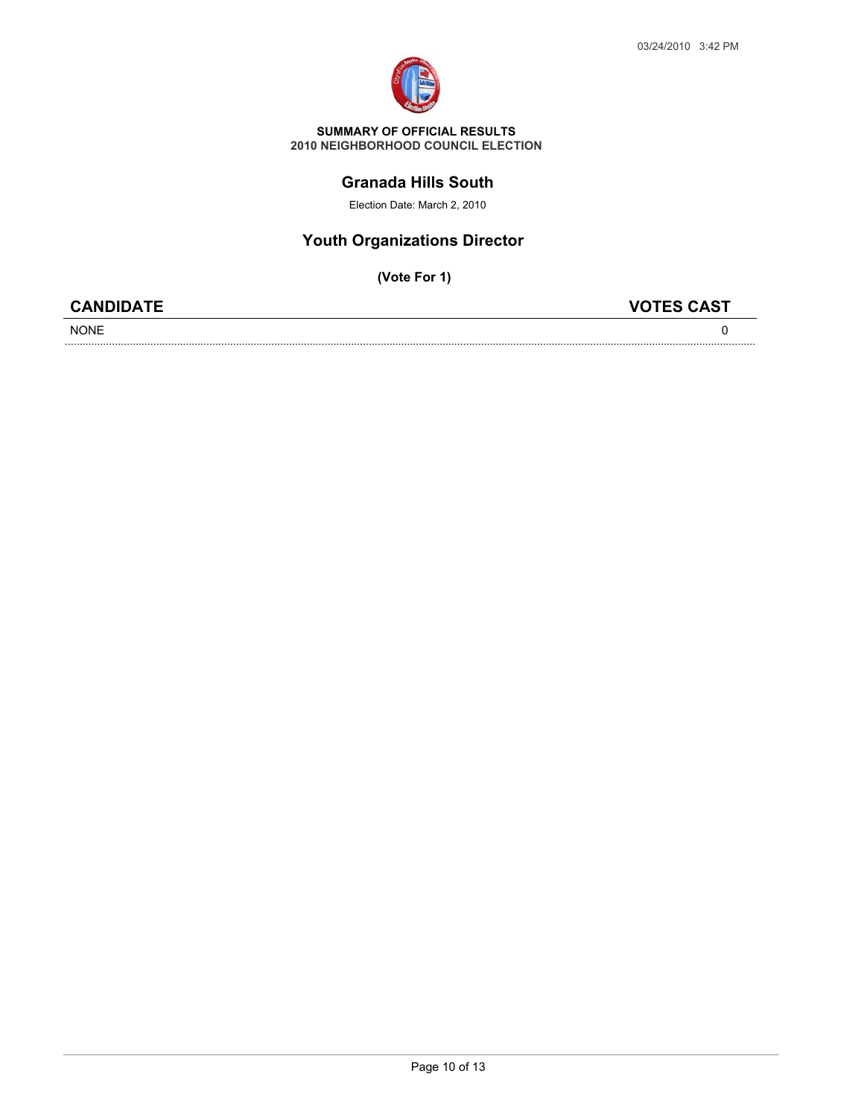

#### **Granada Hills South**

Election Date: March 2, 2010

# **Youth Organizations Director**

| <b>CANDIDATE</b> | <b>VOTES CAST</b> |
|------------------|-------------------|
| <b>NONE</b>      |                   |
|                  |                   |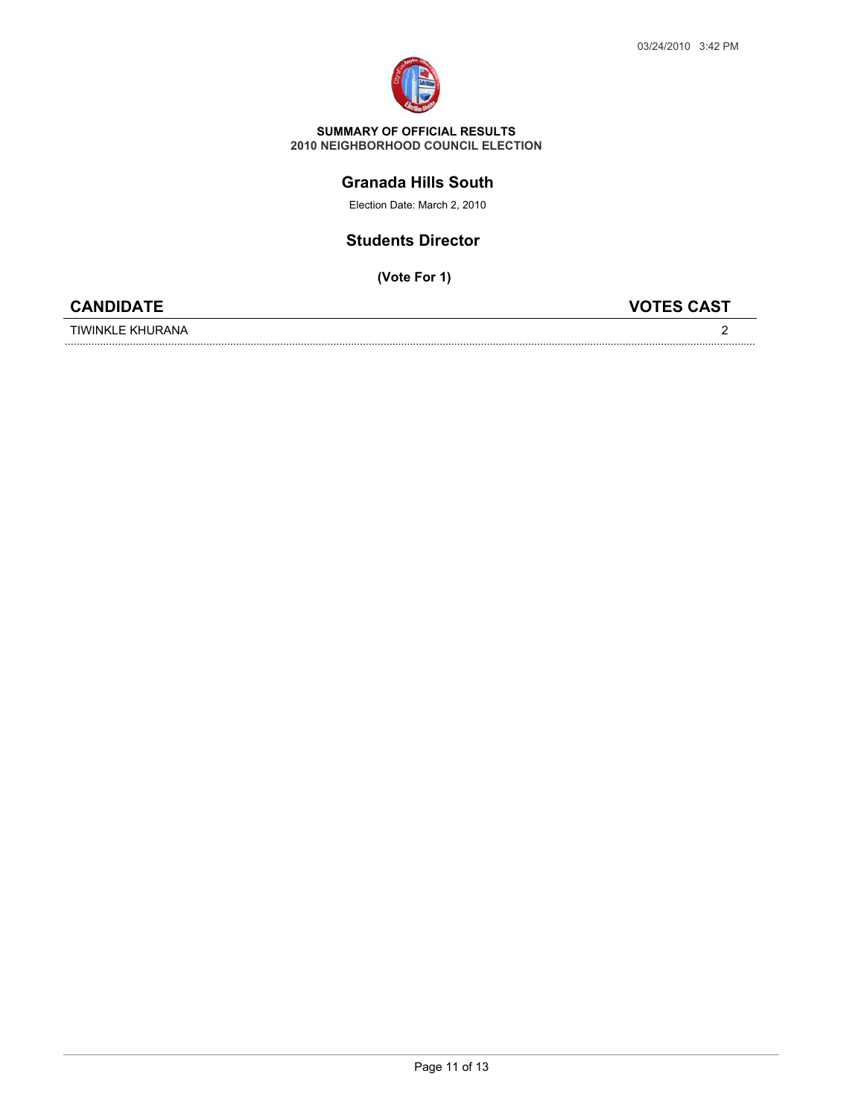

### **Granada Hills South**

Election Date: March 2, 2010

### **Students Director**

**(Vote For 1)**



TIWINKLE KHURANA

.......................................................................................................................................................................................................................................... <sup>2</sup>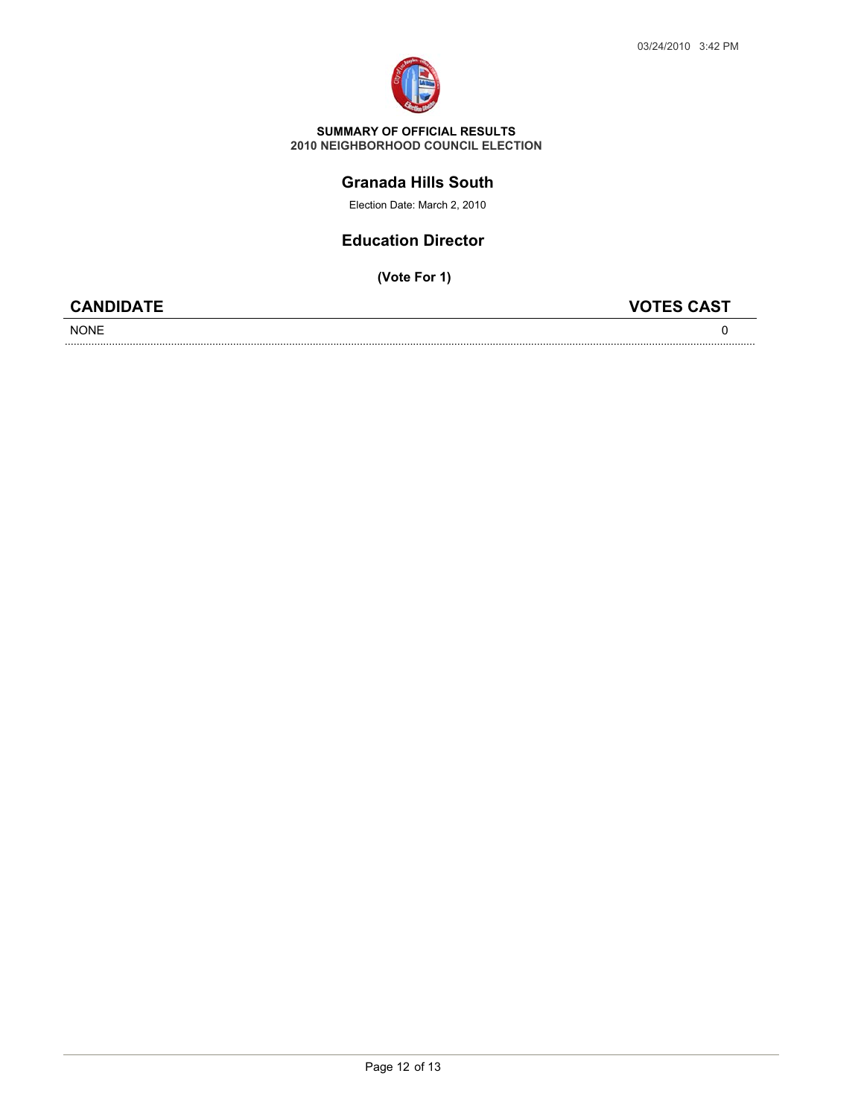

### **Granada Hills South**

Election Date: March 2, 2010

### **Education Director**

**(Vote For 1)**

NONE

**CANDIDATE VOTES CAST**